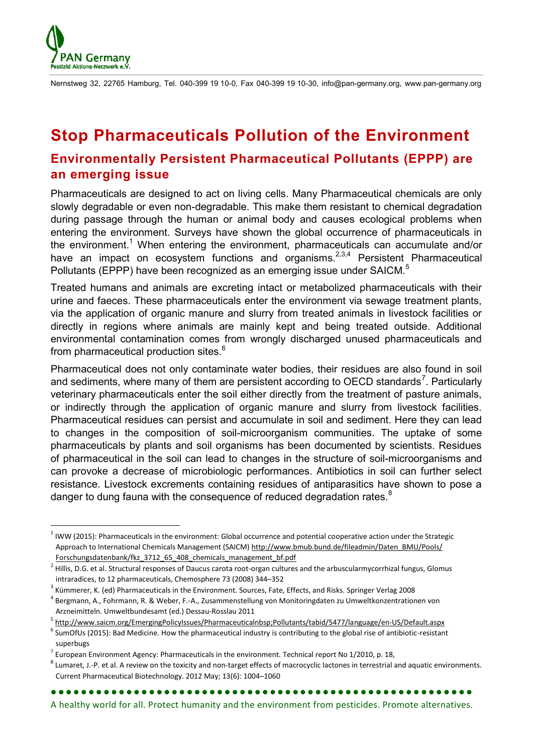

**.** 

Nernstweg 32, 22765 Hamburg, Tel. 040-399 19 10-0, Fax 040-399 19 10-30, info@pan-germany.org, www.pan-germany.org

## **Stop Pharmaceuticals Pollution of the Environment Environmentally Persistent Pharmaceutical Pollutants (EPPP) are an emerging issue**

Pharmaceuticals are designed to act on living cells. Many Pharmaceutical chemicals are only slowly degradable or even non-degradable. This make them resistant to chemical degradation during passage through the human or animal body and causes ecological problems when entering the environment. Surveys have shown the global occurrence of pharmaceuticals in the environment.<sup>1</sup> When entering the environment, pharmaceuticals can accumulate and/or have an impact on ecosystem functions and organisms. $2,3,4$  Persistent Pharmaceutical Pollutants (EPPP) have been recognized as an emerging issue under SAICM.<sup>5</sup>

Treated humans and animals are excreting intact or metabolized pharmaceuticals with their urine and faeces. These pharmaceuticals enter the environment via sewage treatment plants, via the application of organic manure and slurry from treated animals in livestock facilities or directly in regions where animals are mainly kept and being treated outside. Additional environmental contamination comes from wrongly discharged unused pharmaceuticals and from pharmaceutical production sites.<sup>6</sup>

Pharmaceutical does not only contaminate water bodies, their residues are also found in soil and sediments, where many of them are persistent according to OECD standards<sup>7</sup>. Particularly veterinary pharmaceuticals enter the soil either directly from the treatment of pasture animals, or indirectly through the application of organic manure and slurry from livestock facilities. Pharmaceutical residues can persist and accumulate in soil and sediment. Here they can lead to changes in the composition of soil-microorganism communities. The uptake of some pharmaceuticals by plants and soil organisms has been documented by scientists. Residues of pharmaceutical in the soil can lead to changes in the structure of soil-microorganisms and can provoke a decrease of microbiologic performances. Antibiotics in soil can further select resistance. Livestock excrements containing residues of antiparasitics have shown to pose a danger to dung fauna with the consequence of reduced degradation rates.<sup>8</sup>

A healthy world for all. Protect humanity and the environment from pesticides. Promote alternatives.

 $1$  IWW (2015): Pharmaceuticals in the environment: Global occurrence and potential cooperative action under the Strategic Approach to International Chemicals Management (SAICM) [http://www.bmub.bund.de/fileadmin/Daten\\_BMU/Pools/](http://www.bmub.bund.de/fileadmin/Daten_BMU/Pools/Forschungsdatenbank/fkz_3712_65_408_chemicals_management_bf.pdf) Forschungsdatenbank/fkz 3712 65 408 chemicals management bf.pdf

 $^2$  Hillis, D.G. et al. Structural responses of Daucus carota root-organ cultures and the arbuscularmycorrhizal fungus, Glomus intraradices, to 12 pharmaceuticals, Chemosphere 73 (2008) 344–352

<sup>&</sup>lt;sup>3</sup> Kümmerer, K. (ed) Pharmaceuticals in the Environment. Sources, Fate, Effects, and Risks. Springer Verlag 2008

<sup>4</sup> Bergmann, A., Fohrmann, R. & Weber, F.-A., Zusammenstellung von Monitoringdaten zu Umweltkonzentrationen von Arzneimitteln. Umweltbundesamt (ed.) Dessau-Rosslau 2011

<sup>5</sup> <http://www.saicm.org/EmergingPolicyIssues/Pharmaceuticalnbsp;Pollutants/tabid/5477/language/en-US/Default.aspx>

 $^6$  SumOfUs (2015): Bad Medicine. How the pharmaceutical industry is contributing to the global rise of antibiotic-resistant superbugs

 $^7$  European Environment Agency: Pharmaceuticals in the environment. Technical report No 1/2010, p. 18,

 $^8$  Lumaret, J.-P. et al. A review on the toxicity and non-target effects of macrocyclic lactones in terrestrial and aquatic environments. Current Pharmaceutical Biotechnology. 2012 May; 13(6): 1004–1060